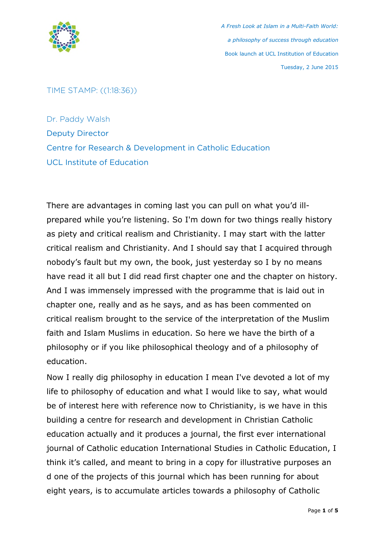

*A Fresh Look at Islam in a Multi-Faith World: a philosophy of success through education* Book launch at UCL Institution of Education Tuesday, 2 June 2015

TIME STAMP: ((1:18:36))

Dr. Paddy Walsh Deputy Director Centre for Research & Development in Catholic Education UCL Institute of Education

There are advantages in coming last you can pull on what you'd illprepared while you're listening. So I'm down for two things really history as piety and critical realism and Christianity. I may start with the latter critical realism and Christianity. And I should say that I acquired through nobody's fault but my own, the book, just yesterday so I by no means have read it all but I did read first chapter one and the chapter on history. And I was immensely impressed with the programme that is laid out in chapter one, really and as he says, and as has been commented on critical realism brought to the service of the interpretation of the Muslim faith and Islam Muslims in education. So here we have the birth of a philosophy or if you like philosophical theology and of a philosophy of education.

Now I really dig philosophy in education I mean I've devoted a lot of my life to philosophy of education and what I would like to say, what would be of interest here with reference now to Christianity, is we have in this building a centre for research and development in Christian Catholic education actually and it produces a journal, the first ever international journal of Catholic education International Studies in Catholic Education, I think it's called, and meant to bring in a copy for illustrative purposes an d one of the projects of this journal which has been running for about eight years, is to accumulate articles towards a philosophy of Catholic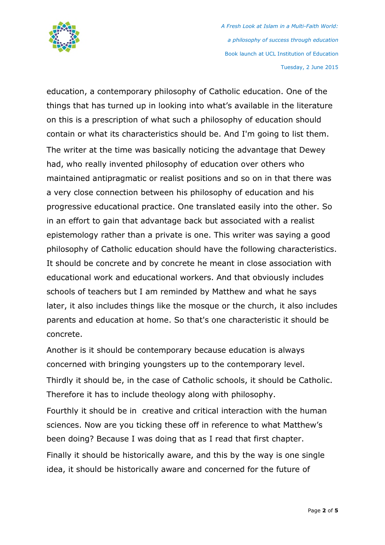

*A Fresh Look at Islam in a Multi-Faith World: a philosophy of success through education* Book launch at UCL Institution of Education Tuesday, 2 June 2015

education, a contemporary philosophy of Catholic education. One of the things that has turned up in looking into what's available in the literature on this is a prescription of what such a philosophy of education should contain or what its characteristics should be. And I'm going to list them. The writer at the time was basically noticing the advantage that Dewey had, who really invented philosophy of education over others who maintained antipragmatic or realist positions and so on in that there was a very close connection between his philosophy of education and his progressive educational practice. One translated easily into the other. So in an effort to gain that advantage back but associated with a realist epistemology rather than a private is one. This writer was saying a good philosophy of Catholic education should have the following characteristics. It should be concrete and by concrete he meant in close association with educational work and educational workers. And that obviously includes schools of teachers but I am reminded by Matthew and what he says later, it also includes things like the mosque or the church, it also includes parents and education at home. So that's one characteristic it should be concrete.

Another is it should be contemporary because education is always concerned with bringing youngsters up to the contemporary level. Thirdly it should be, in the case of Catholic schools, it should be Catholic. Therefore it has to include theology along with philosophy. Fourthly it should be in creative and critical interaction with the human sciences. Now are you ticking these off in reference to what Matthew's been doing? Because I was doing that as I read that first chapter. Finally it should be historically aware, and this by the way is one single

idea, it should be historically aware and concerned for the future of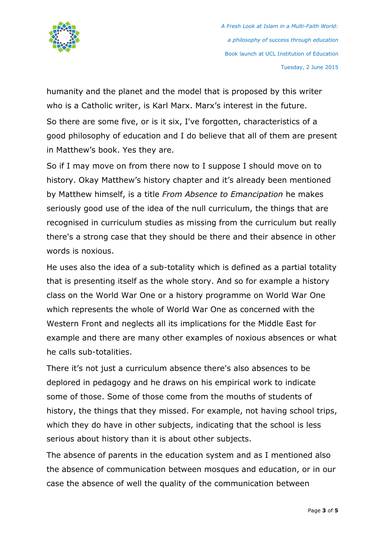

humanity and the planet and the model that is proposed by this writer who is a Catholic writer, is Karl Marx. Marx's interest in the future. So there are some five, or is it six, I've forgotten, characteristics of a good philosophy of education and I do believe that all of them are present in Matthew's book. Yes they are.

So if I may move on from there now to I suppose I should move on to history. Okay Matthew's history chapter and it's already been mentioned by Matthew himself, is a title *From Absence to Emancipation* he makes seriously good use of the idea of the null curriculum, the things that are recognised in curriculum studies as missing from the curriculum but really there's a strong case that they should be there and their absence in other words is noxious.

He uses also the idea of a sub-totality which is defined as a partial totality that is presenting itself as the whole story. And so for example a history class on the World War One or a history programme on World War One which represents the whole of World War One as concerned with the Western Front and neglects all its implications for the Middle East for example and there are many other examples of noxious absences or what he calls sub-totalities.

There it's not just a curriculum absence there's also absences to be deplored in pedagogy and he draws on his empirical work to indicate some of those. Some of those come from the mouths of students of history, the things that they missed. For example, not having school trips, which they do have in other subjects, indicating that the school is less serious about history than it is about other subjects.

The absence of parents in the education system and as I mentioned also the absence of communication between mosques and education, or in our case the absence of well the quality of the communication between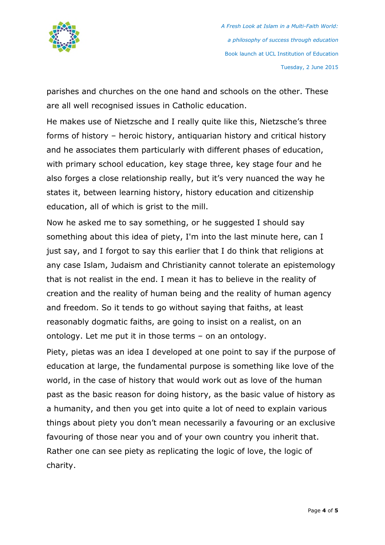

parishes and churches on the one hand and schools on the other. These are all well recognised issues in Catholic education.

He makes use of Nietzsche and I really quite like this, Nietzsche's three forms of history – heroic history, antiquarian history and critical history and he associates them particularly with different phases of education, with primary school education, key stage three, key stage four and he also forges a close relationship really, but it's very nuanced the way he states it, between learning history, history education and citizenship education, all of which is grist to the mill.

Now he asked me to say something, or he suggested I should say something about this idea of piety, I'm into the last minute here, can I just say, and I forgot to say this earlier that I do think that religions at any case Islam, Judaism and Christianity cannot tolerate an epistemology that is not realist in the end. I mean it has to believe in the reality of creation and the reality of human being and the reality of human agency and freedom. So it tends to go without saying that faiths, at least reasonably dogmatic faiths, are going to insist on a realist, on an ontology. Let me put it in those terms – on an ontology.

Piety, pietas was an idea I developed at one point to say if the purpose of education at large, the fundamental purpose is something like love of the world, in the case of history that would work out as love of the human past as the basic reason for doing history, as the basic value of history as a humanity, and then you get into quite a lot of need to explain various things about piety you don't mean necessarily a favouring or an exclusive favouring of those near you and of your own country you inherit that. Rather one can see piety as replicating the logic of love, the logic of charity.